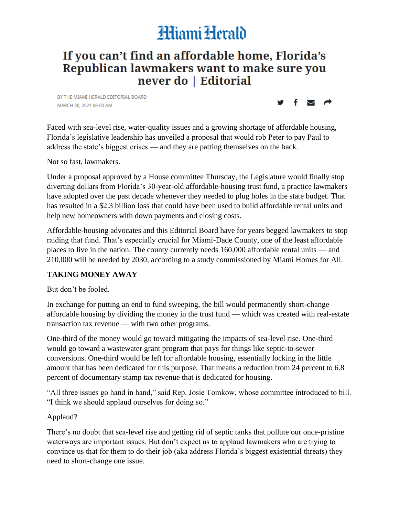# **HiamiHerald**

## If you can't find an affordable home, Florida's Republican lawmakers want to make sure you never do | Editorial

BY THE MIAMI HERALD EDITORIAL BOARD MARCH 30, 2021 06:00 AM



Faced with sea-level rise, water-quality issues and a growing shortage of affordable housing, Florida's legislative leadership has unveiled a proposal that would rob Peter to pay Paul to address the state's biggest crises — and they are patting themselves on the back.

Not so fast, lawmakers.

Under a proposal approved by a House committee Thursday, the Legislature would finally stop diverting dollars from Florida's 30-year-old affordable-housing trust fund, a practice lawmakers have adopted over the past decade whenever they needed to plug holes in the state budget. That has resulted in a \$2.3 billion loss that could have been used to build affordable rental units and help new homeowners with down payments and closing costs.

Affordable-housing advocates and this Editorial Board have for years begged lawmakers to stop raiding that fund. That's especially crucial for Miami-Dade County, one of the least affordable places to live in the nation. The county currently needs 160,000 affordable rental units — and 210,000 will be needed by 2030, according to a study commissioned by Miami Homes for All.

#### **TAKING MONEY AWAY**

But don't be fooled.

In exchange for putting an end to fund sweeping, the bill would permanently short-change affordable housing by dividing the money in the trust fund — which was created with real-estate transaction tax revenue — with two other programs.

One-third of the money would go toward mitigating the impacts of sea-level rise. One-third would go toward a wastewater grant program that pays for things like septic-to-sewer conversions. One-third would be left for affordable housing, essentially locking in the little amount that has been dedicated for this purpose. That means a reduction from 24 percent to 6.8 percent of documentary stamp tax revenue that is dedicated for housing.

"All three issues go hand in hand," said Rep. Josie Tomkow, whose committee introduced to bill. "I think we should applaud ourselves for doing so."

#### Applaud?

There's no doubt that sea-level rise and getting rid of septic tanks that pollute our once-pristine waterways are important issues. But don't expect us to applaud lawmakers who are trying to convince us that for them to do their job (aka address Florida's biggest existential threats) they need to short-change one issue.